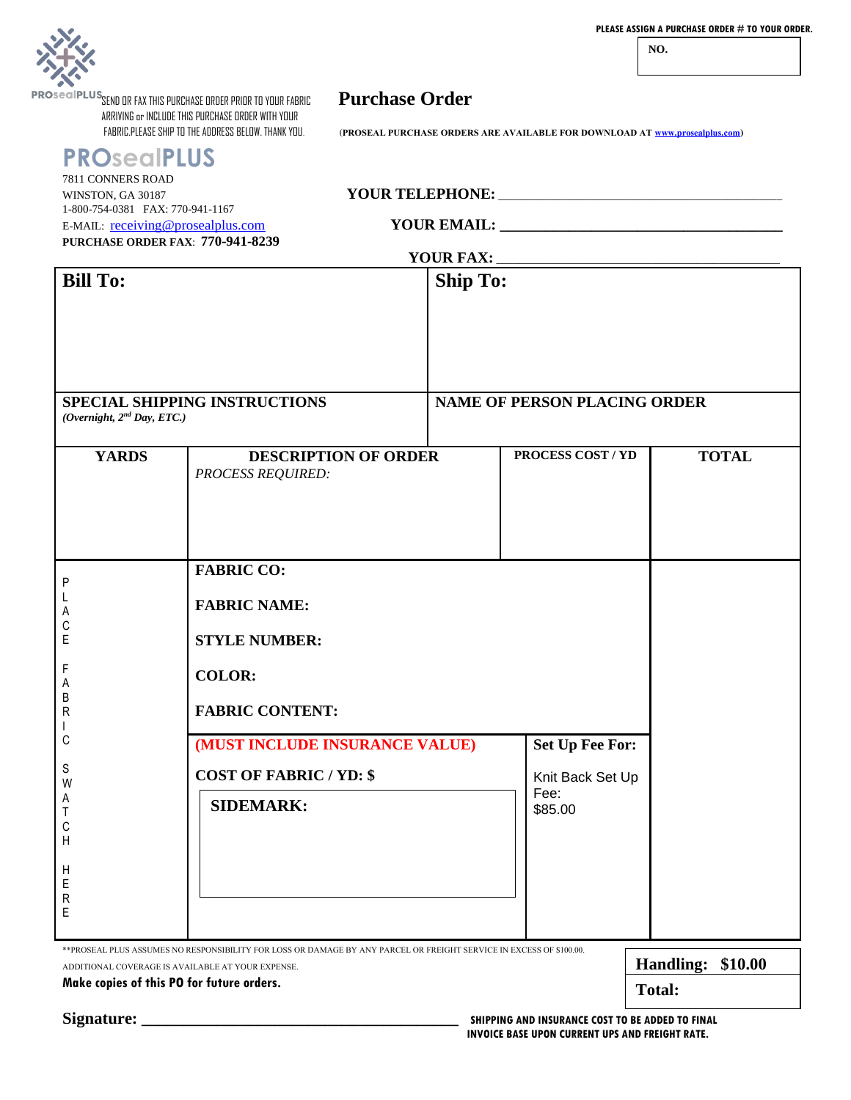

**NO.** 

**PROSECIPLUS SEND OR FAX THIS PURCHASE ORDER PRIOR TO YOUR FABRIC PUrchase Order** ARRIVING or INCLUDE THIS PURCHASE ORDER WITH YOUR

**PROsealPLUS**

(PROSEAL PURCHASE ORDERS ARE AVAILABLE FOR DOWNLOAD AT **www.prosealplus.com**)

| SPECIAL SHIPPING INSTRUCTIONS<br><b>NAME OF PERSON PLACING ORDER</b><br>(Overnight, 2 <sup>nd</sup> Day, ETC.)<br>PROCESS COST / YD<br><b>YARDS</b><br><b>TOTAL</b><br><b>DESCRIPTION OF ORDER</b><br><b>PROCESS REQUIRED:</b><br><b>FABRIC CO:</b><br>P<br><b>FABRIC NAME:</b><br>С<br>E<br><b>STYLE NUMBER:</b><br>F<br><b>COLOR:</b><br>Α<br>В<br><b>FABRIC CONTENT:</b><br>R<br>С<br>(MUST INCLUDE INSURANCE VALUE)<br><b>Set Up Fee For:</b><br>S<br><b>COST OF FABRIC / YD: \$</b><br>Knit Back Set Up<br>W<br>Fee:<br>A<br><b>SIDEMARK:</b><br>\$85.00<br>Τ<br>С<br>Η<br>H<br>E<br>R<br>Ε | WINSTON, GA 30187<br>1-800-754-0381 FAX: 770-941-1167<br>E-MAIL: receiving@prosealplus.com<br><b>PURCHASE ORDER FAX: 770-941-8239</b><br><b>Bill To:</b><br><b>Ship To:</b> |  |  |  |  |  |
|--------------------------------------------------------------------------------------------------------------------------------------------------------------------------------------------------------------------------------------------------------------------------------------------------------------------------------------------------------------------------------------------------------------------------------------------------------------------------------------------------------------------------------------------------------------------------------------------------|-----------------------------------------------------------------------------------------------------------------------------------------------------------------------------|--|--|--|--|--|
|                                                                                                                                                                                                                                                                                                                                                                                                                                                                                                                                                                                                  |                                                                                                                                                                             |  |  |  |  |  |
|                                                                                                                                                                                                                                                                                                                                                                                                                                                                                                                                                                                                  |                                                                                                                                                                             |  |  |  |  |  |

**Signature: \_\_\_\_\_\_\_\_\_\_\_\_\_\_\_\_\_\_\_\_\_\_\_\_\_\_\_\_\_\_\_\_\_\_\_\_\_\_ SHIPPING AND INSURANCE COST TO BE ADDED TO FINAL INVOICE BASE UPON CURRENT UPS AND FREIGHT RATE.**